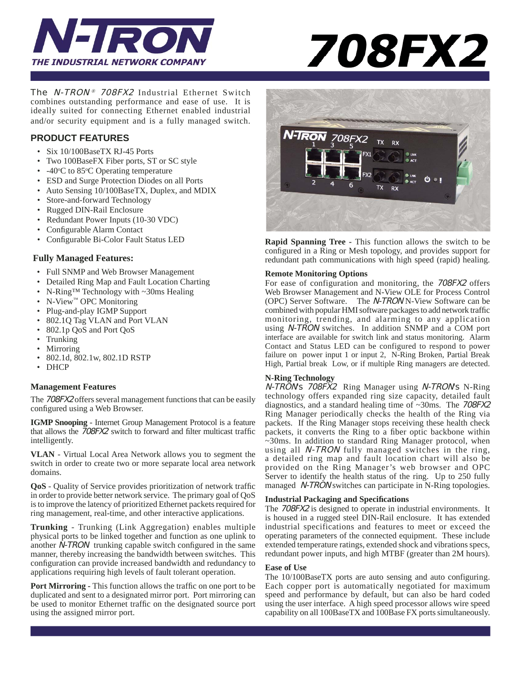



The N-TRON *®* 708FX2 Industrial Ethernet Switch combines outstanding performance and ease of use. It is ideally suited for connecting Ethernet enabled industrial and/or security equipment and is a fully managed switch.

# **PRODUCT FEATURES**

- Six 10/100BaseTX RJ-45 Ports
- Two 100BaseFX Fiber ports, ST or SC style
- -40°C to 85°C Operating temperature
- ESD and Surge Protection Diodes on all Ports
- Auto Sensing 10/100BaseTX, Duplex, and MDIX
- Store-and-forward Technology
- Rugged DIN-Rail Enclosure
- Redundant Power Inputs (10-30 VDC)
- Configurable Alarm Contact
- Configurable Bi-Color Fault Status LED

## **Fully Managed Features:**

- Full SNMP and Web Browser Management
- Detailed Ring Map and Fault Location Charting
- N-Ring™ Technology with ~30ms Healing
- N-View<sup>™</sup> OPC Monitoring
- Plug-and-play IGMP Support
- 802.1Q Tag VLAN and Port VLAN
- 802.1p QoS and Port QoS
- Trunking
- **Mirroring**
- 802.1d, 802.1w, 802.1D RSTP
- DHCP

#### **Management Features**

The 708FX2 offers several management functions that can be easily configured using a Web Browser.

**IGMP Snooping** - Internet Group Management Protocol is a feature that allows the 708FX2 switch to forward and filter multicast traffic intelligently.

**VLAN** - Virtual Local Area Network allows you to segment the switch in order to create two or more separate local area network domains.

**QoS** - Quality of Service provides prioritization of network traffic in order to provide better network service. The primary goal of QoS is to improve the latency of prioritized Ethernet packets required for ring management, real-time, and other interactive applications.

**Trunking** - Trunking (Link Aggregation) enables multiple physical ports to be linked together and function as one uplink to another  $\overline{N}$ -TRON trunking capable switch configured in the same manner, thereby increasing the bandwidth between switches. This configuration can provide increased bandwidth and redundancy to applications requiring high levels of fault tolerant operation.

**Port Mirroring - This function allows the traffic on one port to be** duplicated and sent to a designated mirror port. Port mirroring can be used to monitor Ethernet traffic on the designated source port using the assigned mirror port.



**Rapid Spanning Tree -** This function allows the switch to be configured in a Ring or Mesh topology, and provides support for redundant path communications with high speed (rapid) healing.

#### **Remote Monitoring Options**

For ease of configuration and monitoring, the 708FX2 offers Web Browser Management and N-View OLE for Process Control (OPC) Server Software. The N-TRON N-View Software can be combined with popular HMI software packages to add network traffic monitoring, trending, and alarming to any application using N-TRON switches. In addition SNMP and a COM port interface are available for switch link and status monitoring. Alarm Contact and Status LED can be configured to respond to power failure on power input 1 or input 2, N-Ring Broken, Partial Break High, Partial break Low, or if multiple Ring managers are detected.

#### **N-Ring Technology**

N-TRON's 708FX2 Ring Manager using N-TRON's N-Ring technology offers expanded ring size capacity, detailed fault diagnostics, and a standard healing time of ~30ms. The 708FX2 Ring Manager periodically checks the health of the Ring via packets. If the Ring Manager stops receiving these health check packets, it converts the Ring to a fiber optic backbone within ~30ms. In addition to standard Ring Manager protocol, when using all N-TRON fully managed switches in the ring, a detailed ring map and fault location chart will also be provided on the Ring Manager's web browser and OPC Server to identify the health status of the ring. Up to 250 fully managed *N-TRON* switches can participate in N-Ring topologies.

#### **Industrial Packaging and Specifi cations**

The 708FX2 is designed to operate in industrial environments. It is housed in a rugged steel DIN-Rail enclosure. It has extended industrial specifications and features to meet or exceed the operating parameters of the connected equipment. These include extended temperature ratings, extended shock and vibrations specs, redundant power inputs, and high MTBF (greater than 2M hours).

#### **Ease of Use**

The 10/100BaseTX ports are auto sensing and auto configuring. Each copper port is automatically negotiated for maximum speed and performance by default, but can also be hard coded using the user interface. A high speed processor allows wire speed capability on all 100BaseTX and 100Base FX ports simultaneously.